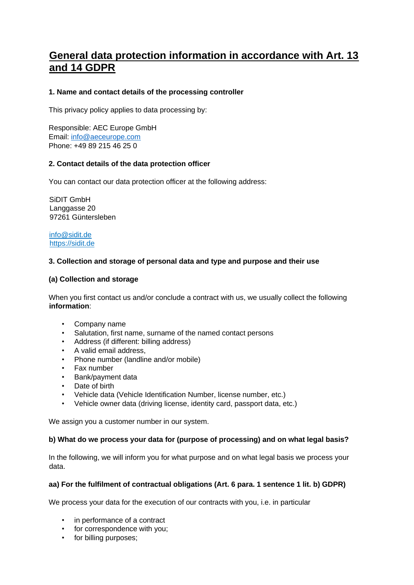# **General data protection information in accordance with Art. 13 and 14 GDPR**

# **1. Name and contact details of the processing controller**

This privacy policy applies to data processing by:

Responsible: AEC Europe GmbH Email: info@aeceurope.com Phone: +49 89 215 46 25 0

## **2. Contact details of the data protection officer**

You can contact our data protection officer at the following address:

SiDIT GmbH Langgasse 20 97261 Güntersleben

[info@sidit.de](mailto:info@sidit.de)  [https://sidit.de](https://sidit.de/)

## **3. Collection and storage of personal data and type and purpose and their use**

#### **(a) Collection and storage**

When you first contact us and/or conclude a contract with us, we usually collect the following **information**:

- Company name
- Salutation, first name, surname of the named contact persons
- Address (if different: billing address)
- A valid email address,
- Phone number (landline and/or mobile)
- Fax number
- Bank/payment data
- Date of birth
- Vehicle data (Vehicle Identification Number, license number, etc.)
- Vehicle owner data (driving license, identity card, passport data, etc.)

We assign you a customer number in our system.

#### **b) What do we process your data for (purpose of processing) and on what legal basis?**

In the following, we will inform you for what purpose and on what legal basis we process your data.

### **aa) For the fulfilment of contractual obligations (Art. 6 para. 1 sentence 1 lit. b) GDPR)**

We process your data for the execution of our contracts with you, i.e. in particular

- in performance of a contract
- for correspondence with you;
- for billing purposes: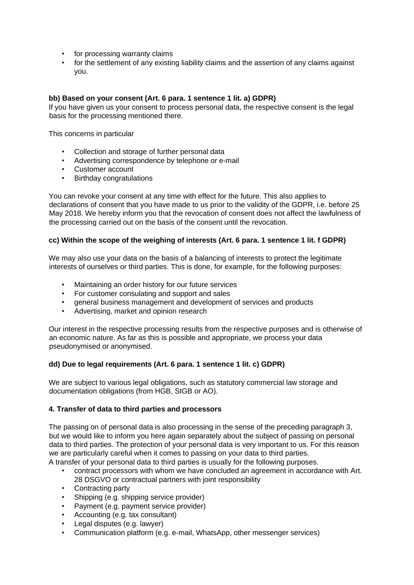- for processing warranty claims
- for the settlement of any existing liability claims and the assertion of any claims against you.

## **bb) Based on your consent (Art. 6 para. 1 sentence 1 lit. a) GDPR)**

If you have given us your consent to process personal data, the respective consent is the legal basis for the processing mentioned there.

This concerns in particular

- Collection and storage of further personal data
- Advertising correspondence by telephone or e-mail
- Customer account
- Birthday congratulations

You can revoke your consent at any time with effect for the future. This also applies to declarations of consent that you have made to us prior to the validity of the GDPR, i.e. before 25 May 2018. We hereby inform you that the revocation of consent does not affect the lawfulness of the processing carried out on the basis of the consent until the revocation.

#### **cc) Within the scope of the weighing of interests (Art. 6 para. 1 sentence 1 lit. f GDPR)**

We may also use your data on the basis of a balancing of interests to protect the legitimate interests of ourselves or third parties. This is done, for example, for the following purposes:

- Maintaining an order history for our future services
- For customer consulating and support and sales
- general business management and development of services and products
- Advertising, market and opinion research

Our interest in the respective processing results from the respective purposes and is otherwise of an economic nature. As far as this is possible and appropriate, we process your data pseudonymised or anonymised.

# **dd) Due to legal requirements (Art. 6 para. 1 sentence 1 lit. c) GDPR)**

We are subject to various legal obligations, such as statutory commercial law storage and documentation obligations (from HGB, StGB or AO).

#### **4. Transfer of data to third parties and processors**

The passing on of personal data is also processing in the sense of the preceding paragraph 3, but we would like to inform you here again separately about the subject of passing on personal data to third parties. The protection of your personal data is very important to us. For this reason we are particularly careful when it comes to passing on your data to third parties.

- A transfer of your personal data to third parties is usually for the following purposes.
	- contract processors with whom we have concluded an agreement in accordance with Art. 28 DSGVO or contractual partners with joint responsibility
	- Contracting party
	- Shipping (e.g. shipping service provider)
	- Payment (e.g. payment service provider)
	- Accounting (e.g. tax consultant)
	- Legal disputes (e.g. lawyer)
	- Communication platform (e.g. e-mail, WhatsApp, other messenger services)